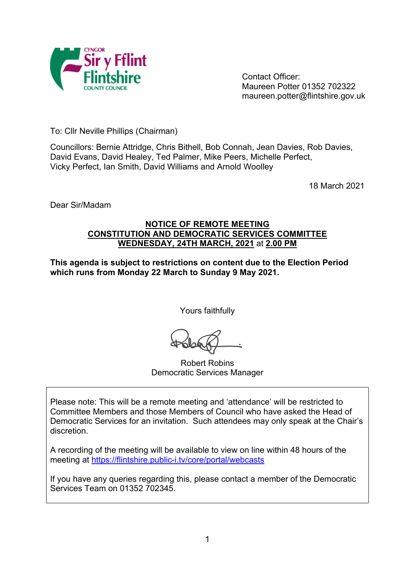

Contact Officer: Maureen Potter 01352 702322 maureen.potter@flintshire.gov.uk

To: Cllr Neville Phillips (Chairman)

Councillors: Bernie Attridge, Chris Bithell, Bob Connah, Jean Davies, Rob Davies, David Evans, David Healey, Ted Palmer, Mike Peers, Michelle Perfect, Vicky Perfect, Ian Smith, David Williams and Arnold Woolley

18 March 2021

Dear Sir/Madam

## **NOTICE OF REMOTE MEETING CONSTITUTION AND DEMOCRATIC SERVICES COMMITTEE WEDNESDAY, 24TH MARCH, 2021** at **2.00 PM**

**This agenda is subject to restrictions on content due to the Election Period which runs from Monday 22 March to Sunday 9 May 2021.**

Yours faithfully

Robert Robins Democratic Services Manager

Please note: This will be a remote meeting and 'attendance' will be restricted to Committee Members and those Members of Council who have asked the Head of Democratic Services for an invitation. Such attendees may only speak at the Chair's discretion.

A recording of the meeting will be available to view on line within 48 hours of the meeting at <https://flintshire.public-i.tv/core/portal/webcasts>

If you have any queries regarding this, please contact a member of the Democratic Services Team on 01352 702345.